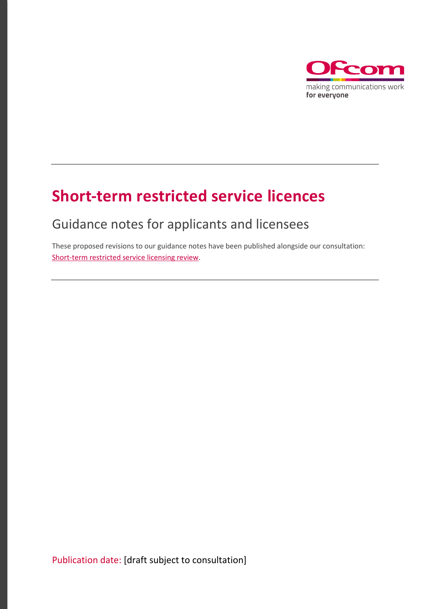

## **Short-term restricted service licences**

## Guidance notes for applicants and licensees

These proposed revisions to our guidance notes have been published alongside our consultation: [Short-term restricted service licensing review.](https://www.ofcom.org.uk/__data/assets/pdf_file/0032/169709/consultation-short-term-restricted-service-licensing-review.pdf)

Publication date: [draft subject to consultation]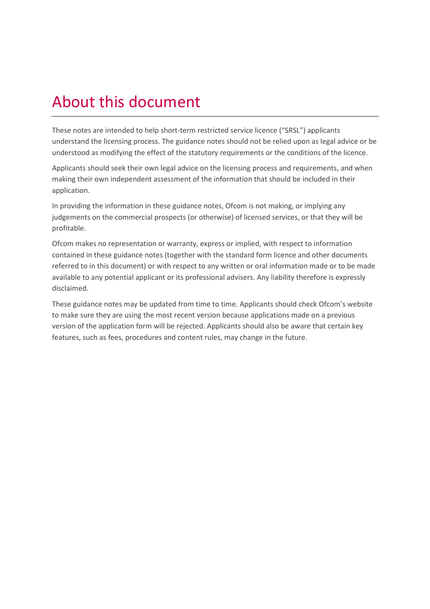## About this document

These notes are intended to help short-term restricted service licence ("SRSL") applicants understand the licensing process. The guidance notes should not be relied upon as legal advice or be understood as modifying the effect of the statutory requirements or the conditions of the licence.

Applicants should seek their own legal advice on the licensing process and requirements, and when making their own independent assessment of the information that should be included in their application.

In providing the information in these guidance notes, Ofcom is not making, or implying any judgements on the commercial prospects (or otherwise) of licensed services, or that they will be profitable.

Ofcom makes no representation or warranty, express or implied, with respect to information contained in these guidance notes (together with the standard form licence and other documents referred to in this document) or with respect to any written or oral information made or to be made available to any potential applicant or its professional advisers. Any liability therefore is expressly disclaimed.

These guidance notes may be updated from time to time. Applicants should check Ofcom's website to make sure they are using the most recent version because applications made on a previous version of the application form will be rejected. Applicants should also be aware that certain key features, such as fees, procedures and content rules, may change in the future.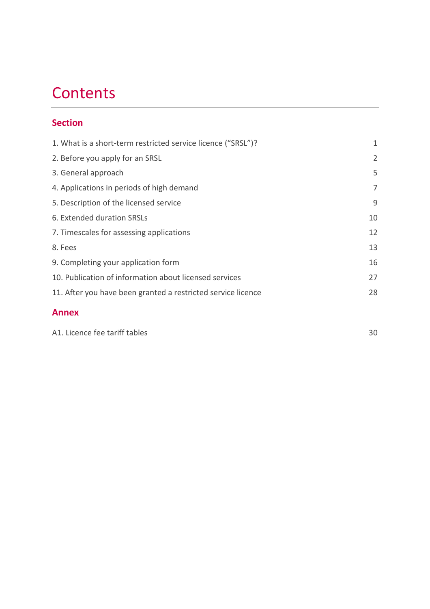## **Contents**

### **Section**

| 1. What is a short-term restricted service licence ("SRSL")? | 1  |
|--------------------------------------------------------------|----|
| 2. Before you apply for an SRSL                              | 2  |
| 3. General approach                                          | 5  |
| 4. Applications in periods of high demand                    | 7  |
| 5. Description of the licensed service                       | 9  |
| 6. Extended duration SRSLs                                   | 10 |
| 7. Timescales for assessing applications                     | 12 |
| 8. Fees                                                      | 13 |
| 9. Completing your application form                          | 16 |
| 10. Publication of information about licensed services       | 27 |
| 11. After you have been granted a restricted service licence | 28 |
| <b>Annex</b>                                                 |    |

[A1. Licence fee tariff tables](#page-32-0) 30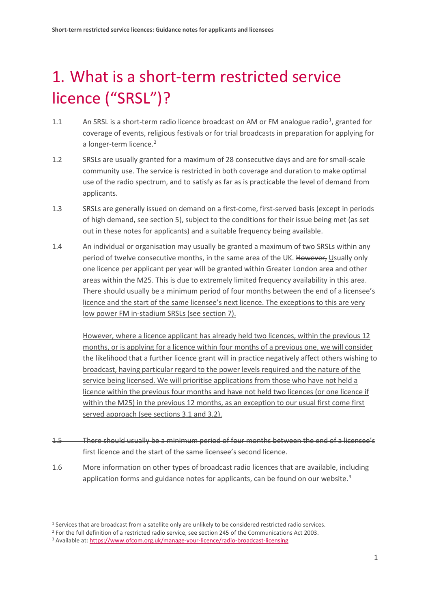# <span id="page-3-0"></span>1. What is a short-term restricted service licence ("SRSL")?

- [1](#page-3-1).1 An SRSL is a short-term radio licence broadcast on AM or FM analogue radio<sup>1</sup>, granted for coverage of events, religious festivals or for trial broadcasts in preparation for applying for a longer-term licence. [2](#page-3-2)
- 1.2 SRSLs are usually granted for a maximum of 28 consecutive days and are for small-scale community use. The service is restricted in both coverage and duration to make optimal use of the radio spectrum, and to satisfy as far as is practicable the level of demand from applicants.
- 1.3 SRSLs are generally issued on demand on a first-come, first-served basis (except in periods of high demand, see section 5), subject to the conditions for their issue being met (as set out in these notes for applicants) and a suitable frequency being available.
- 1.4 An individual or organisation may usually be granted a maximum of two SRSLs within any period of twelve consecutive months, in the same area of the UK. However, Usually only one licence per applicant per year will be granted within Greater London area and other areas within the M25. This is due to extremely limited frequency availability in this area. There should usually be a minimum period of four months between the end of a licensee's licence and the start of the same licensee's next licence. The exceptions to this are very low power FM in-stadium SRSLs (see section 7).

However, where a licence applicant has already held two licences, within the previous 12 months, or is applying for a licence within four months of a previous one, we will consider the likelihood that a further licence grant will in practice negatively affect others wishing to broadcast, having particular regard to the power levels required and the nature of the service being licensed. We will prioritise applications from those who have not held a licence within the previous four months and have not held two licences (or one licence if within the M25) in the previous 12 months, as an exception to our usual first come first served approach (see sections 3.1 and 3.2).

- 1.5 There should usually be a minimum period of four months between the end of a licensee's first licence and the start of the same licensee's second licence.
- 1.6 More information on other types of broadcast radio licences that are available, including application forms and guidance notes for applicants, can be found on our website.<sup>[3](#page-3-3)</sup>

<span id="page-3-1"></span><sup>1</sup> Services that are broadcast from a satellite only are unlikely to be considered restricted radio services.

<span id="page-3-2"></span><sup>2</sup> For the full definition of a restricted radio service, see section 245 of the Communications Act 2003.

<span id="page-3-3"></span><sup>3</sup> Available at[: https://www.ofcom.org.uk/manage-your-licence/radio-broadcast-licensing](https://www.ofcom.org.uk/manage-your-licence/radio-broadcast-licensing)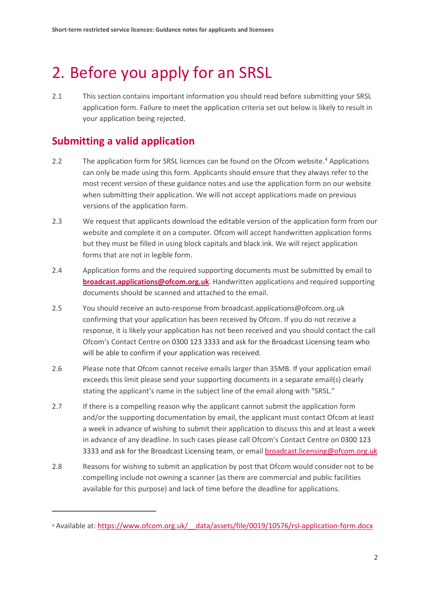## <span id="page-4-0"></span>2. Before you apply for an SRSL

2.1 This section contains important information you should read before submitting your SRSL application form. Failure to meet the application criteria set out below is likely to result in your application being rejected.

## **Submitting a valid application**

- 2.2 The application form for SRSL licences can be found on the Ofcom website.<sup>[4](#page-4-1)</sup> Applications can only be made using this form. Applicants should ensure that they always refer to the most recent version of these guidance notes and use the application form on our website when submitting their application. We will not accept applications made on previous versions of the application form.
- 2.3 We request that applicants download the editable version of the application form from our website and complete it on a computer. Ofcom will accept handwritten application forms but they must be filled in using block capitals and black ink. We will reject application forms that are not in legible form.
- 2.4 Application forms and the required supporting documents must be submitted by email to **[broadcast.applications@ofcom.org.uk](mailto:broadcast.applications@ofcom.org.uk)**. Handwritten applications and required supporting documents should be scanned and attached to the email.
- 2.5 You should receive an auto-response from broadcast.applications@ofcom.org.uk confirming that your application has been received by Ofcom. If you do not receive a response, it is likely your application has not been received and you should contact the call Ofcom's Contact Centre on 0300 123 3333 and ask for the Broadcast Licensing team who will be able to confirm if your application was received.
- 2.6 Please note that Ofcom cannot receive emails larger than 35MB. If your application email exceeds this limit please send your supporting documents in a separate email(s) clearly stating the applicant's name in the subject line of the email along with "SRSL."
- 2.7 If there is a compelling reason why the applicant cannot submit the application form and/or the supporting documentation by email, the applicant must contact Ofcom at least a week in advance of wishing to submit their application to discuss this and at least a week in advance of any deadline. In such cases please call Ofcom's Contact Centre on 0300 123 3333 and ask for the Broadcast Licensing team, or emai[l broadcast.licensing@ofcom.org.uk](mailto:broadcast.licensing@ofcom.org.uk)
- 2.8 Reasons for wishing to submit an application by post that Ofcom would consider not to be compelling include not owning a scanner (as there are commercial and public facilities available for this purpose) and lack of time before the deadline for applications.

<span id="page-4-1"></span><sup>&</sup>lt;sup>4</sup> Available at: https://www.ofcom.org.uk/ data/assets/file/0019/10576/rsl-application-form.docx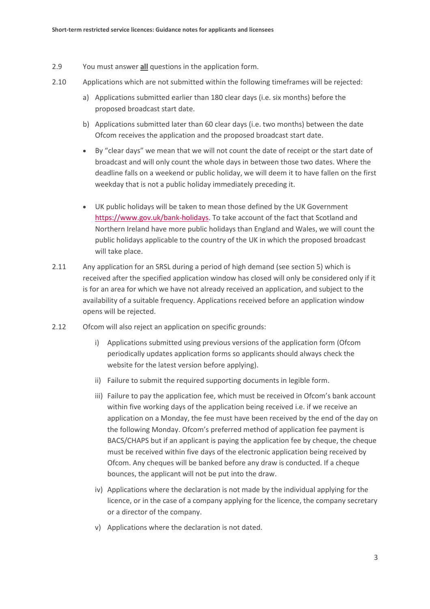- 2.9 You must answer **all** questions in the application form.
- 2.10 Applications which are not submitted within the following timeframes will be rejected:
	- a) Applications submitted earlier than 180 clear days (i.e. six months) before the proposed broadcast start date.
	- b) Applications submitted later than 60 clear days (i.e. two months) between the date Ofcom receives the application and the proposed broadcast start date.
	- By "clear days" we mean that we will not count the date of receipt or the start date of broadcast and will only count the whole days in between those two dates. Where the deadline falls on a weekend or public holiday, we will deem it to have fallen on the first weekday that is not a public holiday immediately preceding it.
	- UK public holidays will be taken to mean those defined by the UK Government [https://www.gov.uk/bank-holidays.](https://www.gov.uk/bank-holidays) To take account of the fact that Scotland and Northern Ireland have more public holidays than England and Wales, we will count the public holidays applicable to the country of the UK in which the proposed broadcast will take place.
- 2.11 Any application for an SRSL during a period of high demand (see section 5) which is received after the specified application window has closed will only be considered only if it is for an area for which we have not already received an application, and subject to the availability of a suitable frequency. Applications received before an application window opens will be rejected.
- 2.12 Ofcom will also reject an application on specific grounds:
	- i) Applications submitted using previous versions of the application form (Ofcom periodically updates application forms so applicants should always check the website for the latest version before applying).
	- ii) Failure to submit the required supporting documents in legible form.
	- iii) Failure to pay the application fee, which must be received in Ofcom's bank account within five working days of the application being received i.e. if we receive an application on a Monday, the fee must have been received by the end of the day on the following Monday. Ofcom's preferred method of application fee payment is BACS/CHAPS but if an applicant is paying the application fee by cheque, the cheque must be received within five days of the electronic application being received by Ofcom. Any cheques will be banked before any draw is conducted. If a cheque bounces, the applicant will not be put into the draw.
	- iv) Applications where the declaration is not made by the individual applying for the licence, or in the case of a company applying for the licence, the company secretary or a director of the company.
	- v) Applications where the declaration is not dated.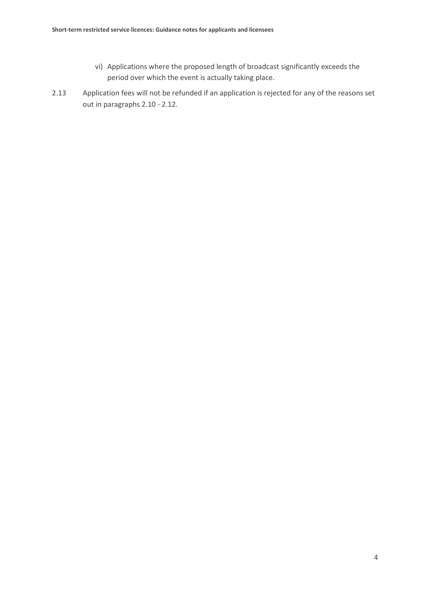- vi) Applications where the proposed length of broadcast significantly exceeds the period over which the event is actually taking place.
- 2.13 Application fees will not be refunded if an application is rejected for any of the reasons set out in paragraphs 2.10 - 2.12.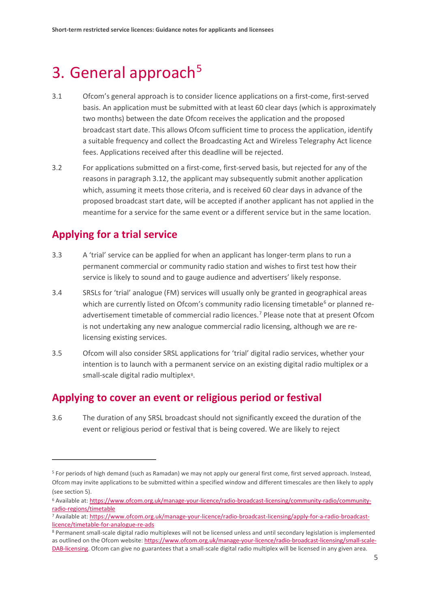## <span id="page-7-0"></span>3. General approach<sup>[5](#page-7-1)</sup>

- 3.1 Ofcom's general approach is to consider licence applications on a first-come, first-served basis. An application must be submitted with at least 60 clear days (which is approximately two months) between the date Ofcom receives the application and the proposed broadcast start date. This allows Ofcom sufficient time to process the application, identify a suitable frequency and collect the Broadcasting Act and Wireless Telegraphy Act licence fees. Applications received after this deadline will be rejected.
- 3.2 For applications submitted on a first-come, first-served basis, but rejected for any of the reasons in paragraph 3.12, the applicant may subsequently submit another application which, assuming it meets those criteria, and is received 60 clear days in advance of the proposed broadcast start date, will be accepted if another applicant has not applied in the meantime for a service for the same event or a different service but in the same location.

## **Applying for a trial service**

 $\overline{a}$ 

- 3.3 A 'trial' service can be applied for when an applicant has longer-term plans to run a permanent commercial or community radio station and wishes to first test how their service is likely to sound and to gauge audience and advertisers' likely response.
- 3.4 SRSLs for 'trial' analogue (FM) services will usually only be granted in geographical areas which are currently listed on Ofcom's community radio licensing timetable<sup>[6](#page-7-2)</sup> or planned readvertisement timetable of commercial radio licences. [7](#page-7-3) Please note that at present Ofcom is not undertaking any new analogue commercial radio licensing, although we are relicensing existing services.
- 3.5 Ofcom will also consider SRSL applications for 'trial' digital radio services, whether your intention is to launch with a permanent service on an existing digital radio multiplex or a small-scale digital radio multiplex<sup>[8](#page-7-4)</sup>.

### **Applying to cover an event or religious period or festival**

3.6 The duration of any SRSL broadcast should not significantly exceed the duration of the event or religious period or festival that is being covered. We are likely to reject

<span id="page-7-1"></span><sup>5</sup> For periods of high demand (such as Ramadan) we may not apply our general first come, first served approach. Instead, Ofcom may invite applications to be submitted within a specified window and different timescales are then likely to apply (see section 5).

<span id="page-7-2"></span><sup>6</sup> Available at[: https://www.ofcom.org.uk/manage-your-licence/radio-broadcast-licensing/community-radio/community](https://www.ofcom.org.uk/manage-your-licence/radio-broadcast-licensing/community-radio/community-radio-regions/timetable)[radio-regions/timetable](https://www.ofcom.org.uk/manage-your-licence/radio-broadcast-licensing/community-radio/community-radio-regions/timetable)

<span id="page-7-3"></span><sup>7</sup> Available at: [https://www.ofcom.org.uk/manage-your-licence/radio-broadcast-licensing/apply-for-a-radio-broadcast](https://www.ofcom.org.uk/manage-your-licence/radio-broadcast-licensing/apply-for-a-radio-broadcast-licence/timetable-for-analogue-re-ads)[licence/timetable-for-analogue-re-ads](https://www.ofcom.org.uk/manage-your-licence/radio-broadcast-licensing/apply-for-a-radio-broadcast-licence/timetable-for-analogue-re-ads)

<span id="page-7-4"></span><sup>8</sup> Permanent small-scale digital radio multiplexes will not be licensed unless and until secondary legislation is implemented as outlined on the Ofcom website: [https://www.ofcom.org.uk/manage-your-licence/radio-broadcast-licensing/small-scale-](https://www.ofcom.org.uk/manage-your-licence/radio-broadcast-licensing/small-scale-DAB-licensing)[DAB-licensing.](https://www.ofcom.org.uk/manage-your-licence/radio-broadcast-licensing/small-scale-DAB-licensing) Ofcom can give no guarantees that a small-scale digital radio multiplex will be licensed in any given area.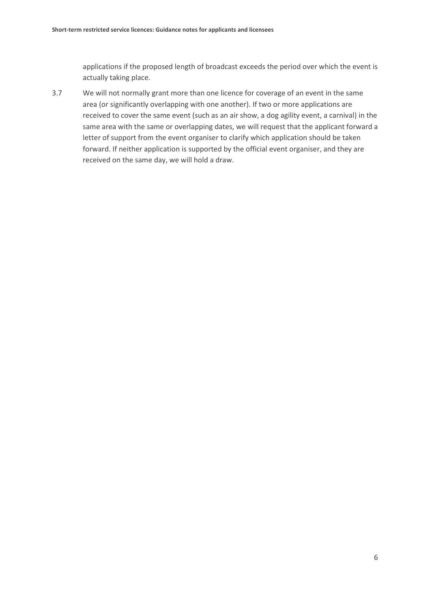applications if the proposed length of broadcast exceeds the period over which the event is actually taking place.

3.7 We will not normally grant more than one licence for coverage of an event in the same area (or significantly overlapping with one another). If two or more applications are received to cover the same event (such as an air show, a dog agility event, a carnival) in the same area with the same or overlapping dates, we will request that the applicant forward a letter of support from the event organiser to clarify which application should be taken forward. If neither application is supported by the official event organiser, and they are received on the same day, we will hold a draw.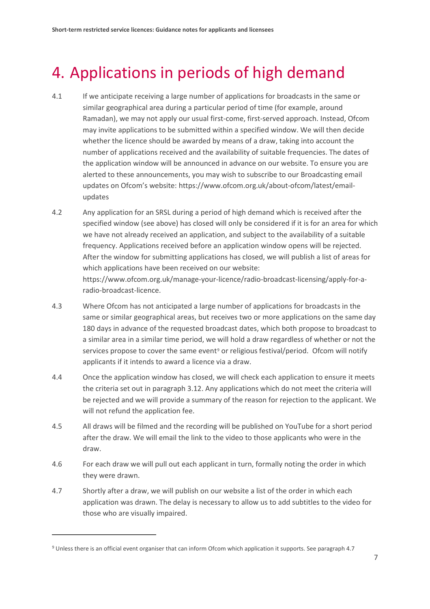## <span id="page-9-0"></span>4. Applications in periods of high demand

- 4.1 If we anticipate receiving a large number of applications for broadcasts in the same or similar geographical area during a particular period of time (for example, around Ramadan), we may not apply our usual first-come, first-served approach. Instead, Ofcom may invite applications to be submitted within a specified window. We will then decide whether the licence should be awarded by means of a draw, taking into account the number of applications received and the availability of suitable frequencies. The dates of the application window will be announced in advance on our website. To ensure you are alerted to these announcements, you may wish to subscribe to our Broadcasting email updates on Ofcom's website: https://www.ofcom.org.uk/about-ofcom/latest/emailupdates
- 4.2 Any application for an SRSL during a period of high demand which is received after the specified window (see above) has closed will only be considered if it is for an area for which we have not already received an application, and subject to the availability of a suitable frequency. Applications received before an application window opens will be rejected. After the window for submitting applications has closed, we will publish a list of areas for which applications have been received on our website: https://www.ofcom.org.uk/manage-your-licence/radio-broadcast-licensing/apply-for-aradio-broadcast-licence.
- 4.3 Where Ofcom has not anticipated a large number of applications for broadcasts in the same or similar geographical areas, but receives two or more applications on the same day 180 days in advance of the requested broadcast dates, which both propose to broadcast to a similar area in a similar time period, we will hold a draw regardless of whether or not the services propose to cover the same event<sup>[9](#page-9-1)</sup> or religious festival/period. Ofcom will notify applicants if it intends to award a licence via a draw.
- 4.4 Once the application window has closed, we will check each application to ensure it meets the criteria set out in paragraph 3.12. Any applications which do not meet the criteria will be rejected and we will provide a summary of the reason for rejection to the applicant. We will not refund the application fee.
- 4.5 All draws will be filmed and the recording will be published on YouTube for a short period after the draw. We will email the link to the video to those applicants who were in the draw.
- 4.6 For each draw we will pull out each applicant in turn, formally noting the order in which they were drawn.
- 4.7 Shortly after a draw, we will publish on our website a list of the order in which each application was drawn. The delay is necessary to allow us to add subtitles to the video for those who are visually impaired.

<span id="page-9-1"></span><sup>9</sup> Unless there is an official event organiser that can inform Ofcom which application it supports. See paragraph 4.7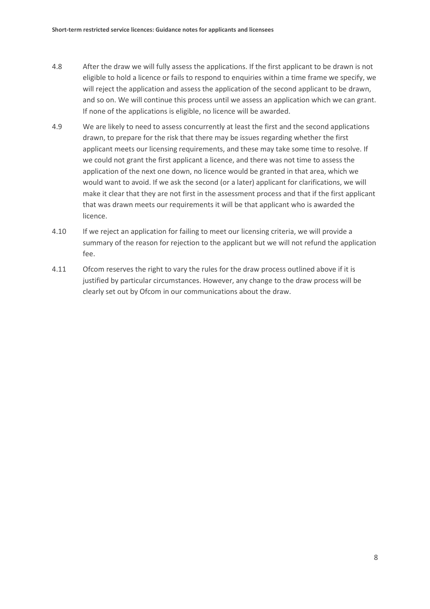- 4.8 After the draw we will fully assess the applications. If the first applicant to be drawn is not eligible to hold a licence or fails to respond to enquiries within a time frame we specify, we will reject the application and assess the application of the second applicant to be drawn, and so on. We will continue this process until we assess an application which we can grant. If none of the applications is eligible, no licence will be awarded.
- 4.9 We are likely to need to assess concurrently at least the first and the second applications drawn, to prepare for the risk that there may be issues regarding whether the first applicant meets our licensing requirements, and these may take some time to resolve. If we could not grant the first applicant a licence, and there was not time to assess the application of the next one down, no licence would be granted in that area, which we would want to avoid. If we ask the second (or a later) applicant for clarifications, we will make it clear that they are not first in the assessment process and that if the first applicant that was drawn meets our requirements it will be that applicant who is awarded the licence.
- 4.10 If we reject an application for failing to meet our licensing criteria, we will provide a summary of the reason for rejection to the applicant but we will not refund the application fee.
- 4.11 Ofcom reserves the right to vary the rules for the draw process outlined above if it is justified by particular circumstances. However, any change to the draw process will be clearly set out by Ofcom in our communications about the draw.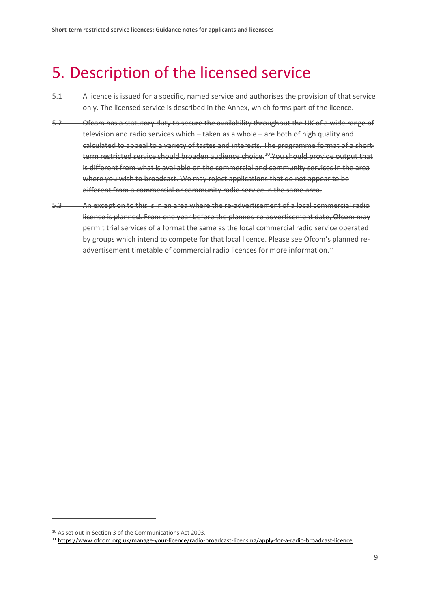## <span id="page-11-0"></span>5. Description of the licensed service

- 5.1 A licence is issued for a specific, named service and authorises the provision of that service only. The licensed service is described in the Annex, which forms part of the licence.
- 5.2 Ofcom has a statutory duty to secure the availability throughout the UK of a wide range of television and radio services which – taken as a whole – are both of high quality and calculated to appeal to a variety of tastes and interests. The programme format of a shortterm restricted service should broaden audience choice.<sup>40</sup> You should provide output that is different from what is available on the commercial and community services in the area where you wish to broadcast. We may reject applications that do not appear to be different from a commercial or community radio service in the same area.
- 5.3 An exception to this is in an area where the re-advertisement of a local commercial radio licence is planned. From one year before the planned re-advertisement date, Ofcom may permit trial services of a format the same as the local commercial radio service operated by groups which intend to compete for that local licence. Please see Ofcom's planned re-advertisement timetable of commercial radio licences for more information.<sup>[11](#page-11-2)</sup>

<span id="page-11-1"></span><sup>&</sup>lt;sup>10</sup> As set out in Section 3 of the Communications Act 2003.

<span id="page-11-2"></span><sup>11</sup> <https://www.ofcom.org.uk/manage-your-licence/radio-broadcast-licensing/apply-for-a-radio-broadcast-licence>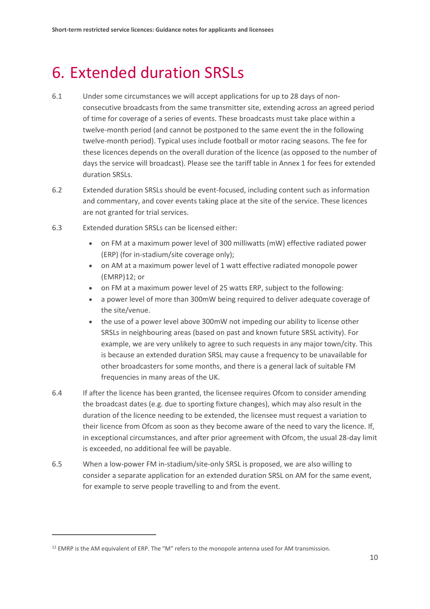## <span id="page-12-0"></span>6. Extended duration SRSLs

- 6.1 Under some circumstances we will accept applications for up to 28 days of nonconsecutive broadcasts from the same transmitter site, extending across an agreed period of time for coverage of a series of events. These broadcasts must take place within a twelve-month period (and cannot be postponed to the same event the in the following twelve-month period). Typical uses include football or motor racing seasons. The fee for these licences depends on the overall duration of the licence (as opposed to the number of days the service will broadcast). Please see the tariff table in Annex 1 for fees for extended duration SRSLs.
- 6.2 Extended duration SRSLs should be event-focused, including content such as information and commentary, and cover events taking place at the site of the service. These licences are not granted for trial services.
- 6.3 Extended duration SRSLs can be licensed either:
	- on FM at a maximum power level of 300 milliwatts (mW) effective radiated power (ERP) (for in-stadium/site coverage only);
	- on AM at a maximum power level of 1 watt effective radiated monopole power (EMRP)[12;](#page-12-1) or
	- on FM at a maximum power level of 25 watts ERP, subject to the following:
	- a power level of more than 300mW being required to deliver adequate coverage of the site/venue.
	- the use of a power level above 300mW not impeding our ability to license other SRSLs in neighbouring areas (based on past and known future SRSL activity). For example, we are very unlikely to agree to such requests in any major town/city. This is because an extended duration SRSL may cause a frequency to be unavailable for other broadcasters for some months, and there is a general lack of suitable FM frequencies in many areas of the UK.
- 6.4 If after the licence has been granted, the licensee requires Ofcom to consider amending the broadcast dates (e.g. due to sporting fixture changes), which may also result in the duration of the licence needing to be extended, the licensee must request a variation to their licence from Ofcom as soon as they become aware of the need to vary the licence. If, in exceptional circumstances, and after prior agreement with Ofcom, the usual 28-day limit is exceeded, no additional fee will be payable.
- 6.5 When a low-power FM in-stadium/site-only SRSL is proposed, we are also willing to consider a separate application for an extended duration SRSL on AM for the same event, for example to serve people travelling to and from the event.

<span id="page-12-1"></span><sup>&</sup>lt;sup>12</sup> EMRP is the AM equivalent of ERP. The "M" refers to the monopole antenna used for AM transmission.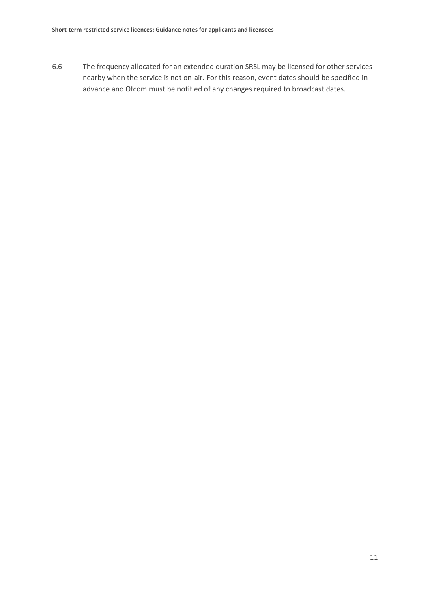6.6 The frequency allocated for an extended duration SRSL may be licensed for other services nearby when the service is not on-air. For this reason, event dates should be specified in advance and Ofcom must be notified of any changes required to broadcast dates.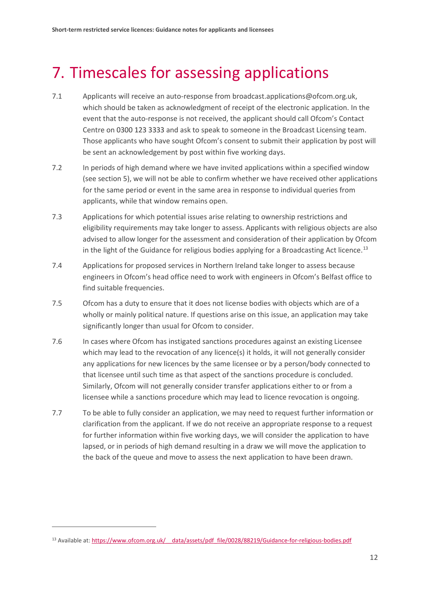## <span id="page-14-0"></span>7. Timescales for assessing applications

- 7.1 Applicants will receive an auto-response from broadcast.applications@ofcom.org.uk, which should be taken as acknowledgment of receipt of the electronic application. In the event that the auto-response is not received, the applicant should call Ofcom's Contact Centre on 0300 123 3333 and ask to speak to someone in the Broadcast Licensing team. Those applicants who have sought Ofcom's consent to submit their application by post will be sent an acknowledgement by post within five working days.
- 7.2 In periods of high demand where we have invited applications within a specified window (see section 5), we will not be able to confirm whether we have received other applications for the same period or event in the same area in response to individual queries from applicants, while that window remains open.
- 7.3 Applications for which potential issues arise relating to ownership restrictions and eligibility requirements may take longer to assess. Applicants with religious objects are also advised to allow longer for the assessment and consideration of their application by Ofcom in the light of the Guidance for religious bodies applying for a Broadcasting Act licence.<sup>[13](#page-14-1)</sup>
- 7.4 Applications for proposed services in Northern Ireland take longer to assess because engineers in Ofcom's head office need to work with engineers in Ofcom's Belfast office to find suitable frequencies.
- 7.5 Ofcom has a duty to ensure that it does not license bodies with objects which are of a wholly or mainly political nature. If questions arise on this issue, an application may take significantly longer than usual for Ofcom to consider.
- 7.6 In cases where Ofcom has instigated sanctions procedures against an existing Licensee which may lead to the revocation of any licence(s) it holds, it will not generally consider any applications for new licences by the same licensee or by a person/body connected to that licensee until such time as that aspect of the sanctions procedure is concluded. Similarly, Ofcom will not generally consider transfer applications either to or from a licensee while a sanctions procedure which may lead to licence revocation is ongoing.
- 7.7 To be able to fully consider an application, we may need to request further information or clarification from the applicant. If we do not receive an appropriate response to a request for further information within five working days, we will consider the application to have lapsed, or in periods of high demand resulting in a draw we will move the application to the back of the queue and move to assess the next application to have been drawn.

<span id="page-14-1"></span><sup>13</sup> Available at: https://www.ofcom.org.uk/ data/assets/pdf file/0028/88219/Guidance-for-religious-bodies.pdf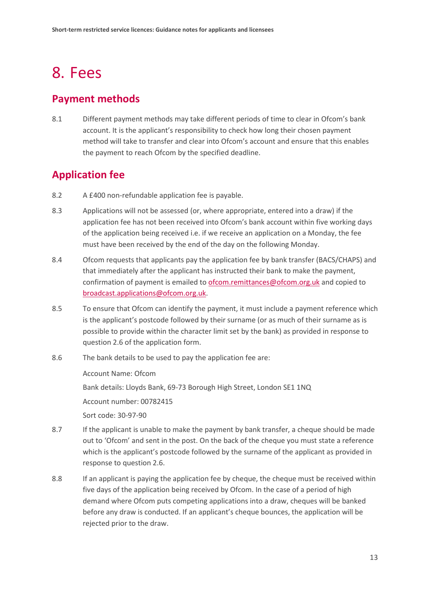## <span id="page-15-0"></span>8. Fees

### **Payment methods**

8.1 Different payment methods may take different periods of time to clear in Ofcom's bank account. It is the applicant's responsibility to check how long their chosen payment method will take to transfer and clear into Ofcom's account and ensure that this enables the payment to reach Ofcom by the specified deadline.

## **Application fee**

- 8.2 A £400 non-refundable application fee is payable.
- 8.3 Applications will not be assessed (or, where appropriate, entered into a draw) if the application fee has not been received into Ofcom's bank account within five working days of the application being received i.e. if we receive an application on a Monday, the fee must have been received by the end of the day on the following Monday.
- 8.4 Ofcom requests that applicants pay the application fee by bank transfer (BACS/CHAPS) and that immediately after the applicant has instructed their bank to make the payment, confirmation of payment is emailed to [ofcom.remittances@ofcom.org.uk](mailto:ofcom.remittances@ofcom.org.uk) and copied to [broadcast.applications@ofcom.org.uk.](mailto:broadcast.applications@ofcom.org.uk)
- 8.5 To ensure that Ofcom can identify the payment, it must include a payment reference which is the applicant's postcode followed by their surname (or as much of their surname as is possible to provide within the character limit set by the bank) as provided in response to question 2.6 of the application form.
- 8.6 The bank details to be used to pay the application fee are:

Account Name: Ofcom

Bank details: Lloyds Bank, 69-73 Borough High Street, London SE1 1NQ

Account number: 00782415

Sort code: 30-97-90

- 8.7 If the applicant is unable to make the payment by bank transfer, a cheque should be made out to 'Ofcom' and sent in the post. On the back of the cheque you must state a reference which is the applicant's postcode followed by the surname of the applicant as provided in response to question 2.6.
- 8.8 If an applicant is paying the application fee by cheque, the cheque must be received within five days of the application being received by Ofcom. In the case of a period of high demand where Ofcom puts competing applications into a draw, cheques will be banked before any draw is conducted. If an applicant's cheque bounces, the application will be rejected prior to the draw.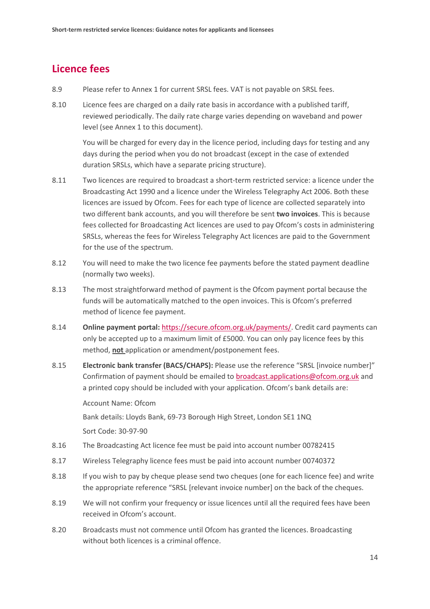## **Licence fees**

- 8.9 Please refer to Annex 1 for current SRSL fees. VAT is not payable on SRSL fees.
- 8.10 Licence fees are charged on a daily rate basis in accordance with a published tariff, reviewed periodically. The daily rate charge varies depending on waveband and power level (see Annex 1 to this document).

You will be charged for every day in the licence period, including days for testing and any days during the period when you do not broadcast (except in the case of extended duration SRSLs, which have a separate pricing structure).

- 8.11 Two licences are required to broadcast a short-term restricted service: a licence under the Broadcasting Act 1990 and a licence under the Wireless Telegraphy Act 2006. Both these licences are issued by Ofcom. Fees for each type of licence are collected separately into two different bank accounts, and you will therefore be sent **two invoices**. This is because fees collected for Broadcasting Act licences are used to pay Ofcom's costs in administering SRSLs, whereas the fees for Wireless Telegraphy Act licences are paid to the Government for the use of the spectrum.
- 8.12 You will need to make the two licence fee payments before the stated payment deadline (normally two weeks).
- 8.13 The most straightforward method of payment is the Ofcom payment portal because the funds will be automatically matched to the open invoices. This is Ofcom's preferred method of licence fee payment.
- 8.14 **Online payment portal:** [https://secure.ofcom.org.uk/payments/.](https://secure.ofcom.org.uk/payments/) Credit card payments can only be accepted up to a maximum limit of £5000. You can only pay licence fees by this method, **not** application or amendment/postponement fees.
- 8.15 **Electronic bank transfer (BACS/CHAPS):** Please use the reference "SRSL [invoice number]" Confirmation of payment should be emailed to [broadcast.applications@ofcom.org.uk](mailto:broadcast.applications@ofcom.org.uk) and a printed copy should be included with your application. Ofcom's bank details are:

Account Name: Ofcom

Bank details: Lloyds Bank, 69-73 Borough High Street, London SE1 1NQ

Sort Code: 30-97-90

- 8.16 The Broadcasting Act licence fee must be paid into account number 00782415
- 8.17 Wireless Telegraphy licence fees must be paid into account number 00740372
- 8.18 If you wish to pay by cheque please send two cheques (one for each licence fee) and write the appropriate reference "SRSL [relevant invoice number] on the back of the cheques.
- 8.19 We will not confirm your frequency or issue licences until all the required fees have been received in Ofcom's account.
- 8.20 Broadcasts must not commence until Ofcom has granted the licences. Broadcasting without both licences is a criminal offence.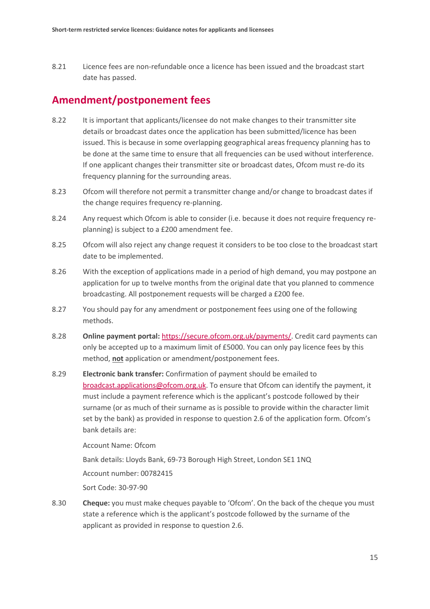8.21 Licence fees are non-refundable once a licence has been issued and the broadcast start date has passed.

### **Amendment/postponement fees**

- 8.22 It is important that applicants/licensee do not make changes to their transmitter site details or broadcast dates once the application has been submitted/licence has been issued. This is because in some overlapping geographical areas frequency planning has to be done at the same time to ensure that all frequencies can be used without interference. If one applicant changes their transmitter site or broadcast dates, Ofcom must re-do its frequency planning for the surrounding areas.
- 8.23 Ofcom will therefore not permit a transmitter change and/or change to broadcast dates if the change requires frequency re-planning.
- 8.24 Any request which Ofcom is able to consider (i.e. because it does not require frequency replanning) is subject to a £200 amendment fee.
- 8.25 Ofcom will also reject any change request it considers to be too close to the broadcast start date to be implemented.
- 8.26 With the exception of applications made in a period of high demand, you may postpone an application for up to twelve months from the original date that you planned to commence broadcasting. All postponement requests will be charged a £200 fee.
- 8.27 You should pay for any amendment or postponement fees using one of the following methods.
- 8.28 **Online payment portal:** [https://secure.ofcom.org.uk/payments/.](https://secure.ofcom.org.uk/payments/) Credit card payments can only be accepted up to a maximum limit of £5000. You can only pay licence fees by this method, **not** application or amendment/postponement fees.
- 8.29 **Electronic bank transfer:** Confirmation of payment should be emailed to [broadcast.applications@ofcom.org.uk.](mailto:broadcast.applications@ofcom.org.uk) To ensure that Ofcom can identify the payment, it must include a payment reference which is the applicant's postcode followed by their surname (or as much of their surname as is possible to provide within the character limit set by the bank) as provided in response to question 2.6 of the application form. Ofcom's bank details are:

Account Name: Ofcom

Bank details: Lloyds Bank, 69-73 Borough High Street, London SE1 1NQ

Account number: 00782415

Sort Code: 30-97-90

8.30 **Cheque:** you must make cheques payable to 'Ofcom'. On the back of the cheque you must state a reference which is the applicant's postcode followed by the surname of the applicant as provided in response to question 2.6.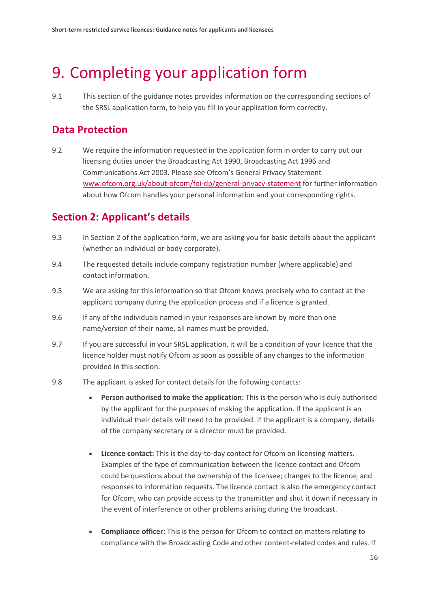## <span id="page-18-0"></span>9. Completing your application form

9.1 This section of the guidance notes provides information on the corresponding sections of the SRSL application form, to help you fill in your application form correctly.

## **Data Protection**

9.2 We require the information requested in the application form in order to carry out our licensing duties under the Broadcasting Act 1990, Broadcasting Act 1996 and Communications Act 2003. Please see Ofcom's General Privacy Statement [www.ofcom.org.uk/about-ofcom/foi-dp/general-privacy-statement](http://www.ofcom.org.uk/about-ofcom/foi-dp/general-privacy-statement) for further information about how Ofcom handles your personal information and your corresponding rights.

## **Section 2: Applicant's details**

- 9.3 In Section 2 of the application form, we are asking you for basic details about the applicant (whether an individual or body corporate).
- 9.4 The requested details include company registration number (where applicable) and contact information.
- 9.5 We are asking for this information so that Ofcom knows precisely who to contact at the applicant company during the application process and if a licence is granted.
- 9.6 If any of the individuals named in your responses are known by more than one name/version of their name, all names must be provided.
- 9.7 If you are successful in your SRSL application, it will be a condition of your licence that the licence holder must notify Ofcom as soon as possible of any changes to the information provided in this section.
- 9.8 The applicant is asked for contact details for the following contacts:
	- **Person authorised to make the application:** This is the person who is duly authorised by the applicant for the purposes of making the application. If the applicant is an individual their details will need to be provided. If the applicant is a company, details of the company secretary or a director must be provided.
	- **Licence contact:** This is the day-to-day contact for Ofcom on licensing matters. Examples of the type of communication between the licence contact and Ofcom could be questions about the ownership of the licensee; changes to the licence; and responses to information requests. The licence contact is also the emergency contact for Ofcom, who can provide access to the transmitter and shut it down if necessary in the event of interference or other problems arising during the broadcast.
	- **Compliance officer:** This is the person for Ofcom to contact on matters relating to compliance with the Broadcasting Code and other content-related codes and rules. If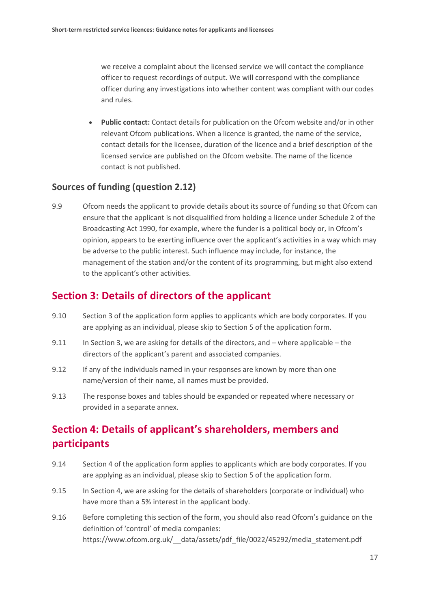we receive a complaint about the licensed service we will contact the compliance officer to request recordings of output. We will correspond with the compliance officer during any investigations into whether content was compliant with our codes and rules.

• **Public contact:** Contact details for publication on the Ofcom website and/or in other relevant Ofcom publications. When a licence is granted, the name of the service, contact details for the licensee, duration of the licence and a brief description of the licensed service are published on the Ofcom website. The name of the licence contact is not published.

#### **Sources of funding (question 2.12)**

9.9 Ofcom needs the applicant to provide details about its source of funding so that Ofcom can ensure that the applicant is not disqualified from holding a licence under Schedule 2 of the Broadcasting Act 1990, for example, where the funder is a political body or, in Ofcom's opinion, appears to be exerting influence over the applicant's activities in a way which may be adverse to the public interest. Such influence may include, for instance, the management of the station and/or the content of its programming, but might also extend to the applicant's other activities.

### **Section 3: Details of directors of the applicant**

- 9.10 Section 3 of the application form applies to applicants which are body corporates. If you are applying as an individual, please skip to Section 5 of the application form.
- 9.11 In Section 3, we are asking for details of the directors, and where applicable the directors of the applicant's parent and associated companies.
- 9.12 If any of the individuals named in your responses are known by more than one name/version of their name, all names must be provided.
- 9.13 The response boxes and tables should be expanded or repeated where necessary or provided in a separate annex.

## **Section 4: Details of applicant's shareholders, members and participants**

- 9.14 Section 4 of the application form applies to applicants which are body corporates. If you are applying as an individual, please skip to Section 5 of the application form.
- 9.15 In Section 4, we are asking for the details of shareholders (corporate or individual) who have more than a 5% interest in the applicant body.
- 9.16 Before completing this section of the form, you should also read Ofcom's guidance on the definition of 'control' of media companies: https://www.ofcom.org.uk/\_\_data/assets/pdf\_file/0022/45292/media\_statement.pdf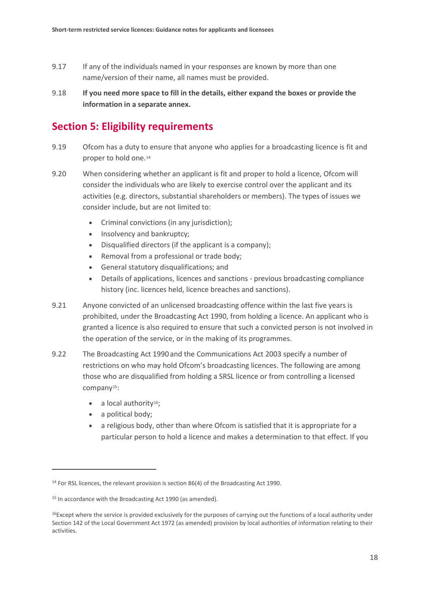- 9.17 If any of the individuals named in your responses are known by more than one name/version of their name, all names must be provided.
- 9.18 **If you need more space to fill in the details, either expand the boxes or provide the information in a separate annex.**

## **Section 5: Eligibility requirements**

- 9.19 Ofcom has a duty to ensure that anyone who applies for a broadcasting licence is fit and proper to hold one.[14](#page-20-0)
- 9.20 When considering whether an applicant is fit and proper to hold a licence, Ofcom will consider the individuals who are likely to exercise control over the applicant and its activities (e.g. directors, substantial shareholders or members). The types of issues we consider include, but are not limited to:
	- Criminal convictions (in any jurisdiction);
	- Insolvency and bankruptcy;
	- Disqualified directors (if the applicant is a company);
	- Removal from a professional or trade body;
	- General statutory disqualifications; and
	- Details of applications, licences and sanctions previous broadcasting compliance history (inc. licences held, licence breaches and sanctions).
- 9.21 Anyone convicted of an unlicensed broadcasting offence within the last five years is prohibited, under the Broadcasting Act 1990, from holding a licence. An applicant who is granted a licence is also required to ensure that such a convicted person is not involved in the operation of the service, or in the making of its programmes.
- 9.22 The Broadcasting Act 1990 and the Communications Act 2003 specify a number of restrictions on who may hold Ofcom's broadcasting licences. The following are among those who are disqualified from holding a SRSL licence or from controlling a licensed company[15](#page-20-1):
	- $\bullet$  a local authority<sup>16</sup>;
	- a political body;

 $\overline{a}$ 

• a religious body, other than where Ofcom is satisfied that it is appropriate for a particular person to hold a licence and makes a determination to that effect. If you

<span id="page-20-0"></span><sup>&</sup>lt;sup>14</sup> For RSL licences, the relevant provision is section 86(4) of the Broadcasting Act 1990.

<span id="page-20-1"></span><sup>&</sup>lt;sup>15</sup> In accordance with the Broadcasting Act 1990 (as amended).

<span id="page-20-2"></span> $16$ Except where the service is provided exclusively for the purposes of carrying out the functions of a local authority under Section 142 of the Local Government Act 1972 (as amended) provision by local authorities of information relating to their activities.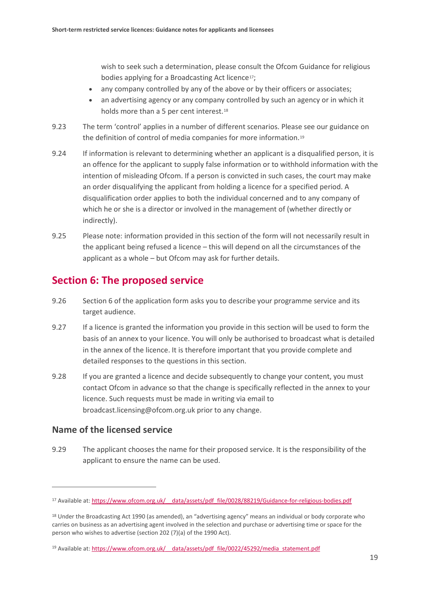wish to seek such a determination, please consult the Ofcom Guidance for religious bodies applying for a Broadcasting Act licence<sup>[17](#page-21-0)</sup>;

- any company controlled by any of the above or by their officers or associates;
- an advertising agency or any company controlled by such an agency or in which it holds more than a 5 per cent interest.<sup>[18](#page-21-1)</sup>
- 9.23 The term 'control' applies in a number of different scenarios. Please see our guidance on the definition of control of media companies for more information.<sup>[19](#page-21-2)</sup>
- 9.24 If information is relevant to determining whether an applicant is a disqualified person, it is an offence for the applicant to supply false information or to withhold information with the intention of misleading Ofcom. If a person is convicted in such cases, the court may make an order disqualifying the applicant from holding a licence for a specified period. A disqualification order applies to both the individual concerned and to any company of which he or she is a director or involved in the management of (whether directly or indirectly).
- 9.25 Please note: information provided in this section of the form will not necessarily result in the applicant being refused a licence – this will depend on all the circumstances of the applicant as a whole – but Ofcom may ask for further details.

### **Section 6: The proposed service**

- 9.26 Section 6 of the application form asks you to describe your programme service and its target audience.
- 9.27 If a licence is granted the information you provide in this section will be used to form the basis of an annex to your licence. You will only be authorised to broadcast what is detailed in the annex of the licence. It is therefore important that you provide complete and detailed responses to the questions in this section.
- 9.28 If you are granted a licence and decide subsequently to change your content, you must contact Ofcom in advance so that the change is specifically reflected in the annex to your licence. Such requests must be made in writing via email to broadcast.licensing@ofcom.org.uk prior to any change.

#### **Name of the licensed service**

 $\overline{a}$ 

9.29 The applicant chooses the name for their proposed service. It is the responsibility of the applicant to ensure the name can be used.

<span id="page-21-0"></span><sup>&</sup>lt;sup>17</sup> Available at: https://www.ofcom.org.uk/ data/assets/pdf file/0028/88219/Guidance-for-religious-bodies.pdf

<span id="page-21-1"></span><sup>18</sup> Under the Broadcasting Act 1990 (as amended), an "advertising agency" means an individual or body corporate who carries on business as an advertising agent involved in the selection and purchase or advertising time or space for the person who wishes to advertise (section 202 (7)(a) of the 1990 Act).

<span id="page-21-2"></span><sup>&</sup>lt;sup>19</sup> Available at: https://www.ofcom.org.uk/ data/assets/pdf file/0022/45292/media\_statement.pdf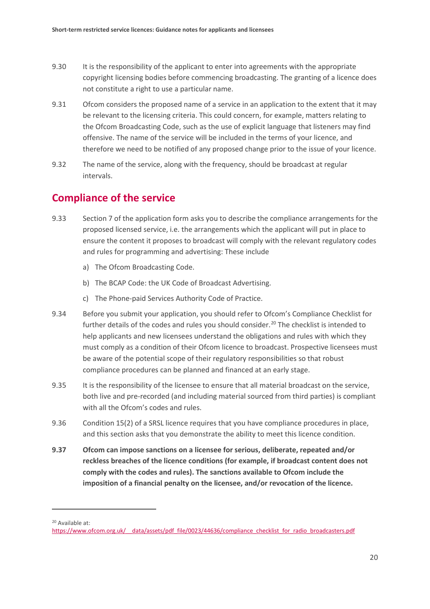- 9.30 It is the responsibility of the applicant to enter into agreements with the appropriate copyright licensing bodies before commencing broadcasting. The granting of a licence does not constitute a right to use a particular name.
- 9.31 Ofcom considers the proposed name of a service in an application to the extent that it may be relevant to the licensing criteria. This could concern, for example, matters relating to the Ofcom Broadcasting Code, such as the use of explicit language that listeners may find offensive. The name of the service will be included in the terms of your licence, and therefore we need to be notified of any proposed change prior to the issue of your licence.
- 9.32 The name of the service, along with the frequency, should be broadcast at regular intervals.

### **Compliance of the service**

- 9.33 Section 7 of the application form asks you to describe the compliance arrangements for the proposed licensed service, i.e. the arrangements which the applicant will put in place to ensure the content it proposes to broadcast will comply with the relevant regulatory codes and rules for programming and advertising: These include
	- a) The Ofcom Broadcasting Code.
	- b) The BCAP Code: the UK Code of Broadcast Advertising.
	- c) The Phone-paid Services Authority Code of Practice.
- 9.34 Before you submit your application, you should refer to Ofcom's Compliance Checklist for further details of the codes and rules you should consider. [20](#page-22-0) The checklist is intended to help applicants and new licensees understand the obligations and rules with which they must comply as a condition of their Ofcom licence to broadcast. Prospective licensees must be aware of the potential scope of their regulatory responsibilities so that robust compliance procedures can be planned and financed at an early stage.
- 9.35 It is the responsibility of the licensee to ensure that all material broadcast on the service, both live and pre-recorded (and including material sourced from third parties) is compliant with all the Ofcom's codes and rules.
- 9.36 Condition 15(2) of a SRSL licence requires that you have compliance procedures in place, and this section asks that you demonstrate the ability to meet this licence condition.
- **9.37 Ofcom can impose sanctions on a licensee for serious, deliberate, repeated and/or reckless breaches of the licence conditions (for example, if broadcast content does not comply with the codes and rules). The sanctions available to Ofcom include the imposition of a financial penalty on the licensee, and/or revocation of the licence.**

<span id="page-22-0"></span><sup>20</sup> Available at:

https://www.ofcom.org.uk/ data/assets/pdf file/0023/44636/compliance checklist for radio broadcasters.pdf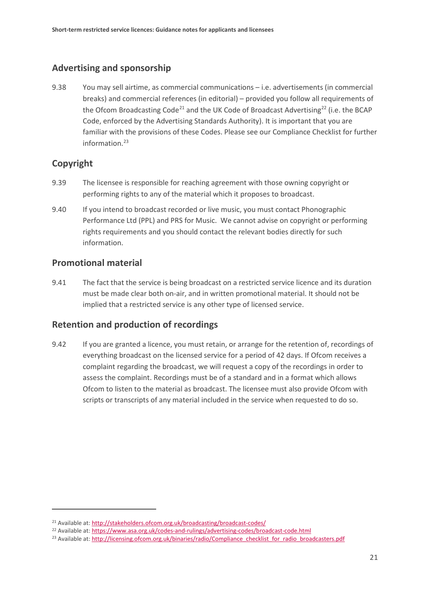#### **Advertising and sponsorship**

9.38 You may sell airtime, as commercial communications – i.e. advertisements (in commercial breaks) and commercial references (in editorial) – provided you follow all requirements of the Ofcom Broadcasting Code<sup>[21](#page-23-0)</sup> and the UK Code of Broadcast Advertising<sup>[22](#page-23-1)</sup> (i.e. the BCAP Code, enforced by the Advertising Standards Authority). It is important that you are familiar with the provisions of these Codes. Please see our Compliance Checklist for further information. [23](#page-23-2)

#### **Copyright**

 $\overline{a}$ 

- 9.39 The licensee is responsible for reaching agreement with those owning copyright or performing rights to any of the material which it proposes to broadcast.
- 9.40 If you intend to broadcast recorded or live music, you must contact Phonographic Performance Ltd (PPL) and PRS for Music. We cannot advise on copyright or performing rights requirements and you should contact the relevant bodies directly for such information.

#### **Promotional material**

9.41 The fact that the service is being broadcast on a restricted service licence and its duration must be made clear both on-air, and in written promotional material. It should not be implied that a restricted service is any other type of licensed service.

#### **Retention and production of recordings**

9.42 If you are granted a licence, you must retain, or arrange for the retention of, recordings of everything broadcast on the licensed service for a period of 42 days. If Ofcom receives a complaint regarding the broadcast, we will request a copy of the recordings in order to assess the complaint. Recordings must be of a standard and in a format which allows Ofcom to listen to the material as broadcast. The licensee must also provide Ofcom with scripts or transcripts of any material included in the service when requested to do so.

<span id="page-23-0"></span><sup>&</sup>lt;sup>21</sup> Available at[: http://stakeholders.ofcom.org.uk/broadcasting/broadcast-codes/](http://stakeholders.ofcom.org.uk/broadcasting/broadcast-codes/)

<span id="page-23-1"></span><sup>22</sup> Available at[: https://www.asa.org.uk/codes-and-rulings/advertising-codes/broadcast-code.html](https://www.asa.org.uk/codes-and-rulings/advertising-codes/broadcast-code.html)

<span id="page-23-2"></span><sup>&</sup>lt;sup>23</sup> Available at[: http://licensing.ofcom.org.uk/binaries/radio/Compliance\\_checklist\\_for\\_radio\\_broadcasters.pdf](http://licensing.ofcom.org.uk/binaries/radio/Compliance_checklist_for_radio_broadcasters.pdf)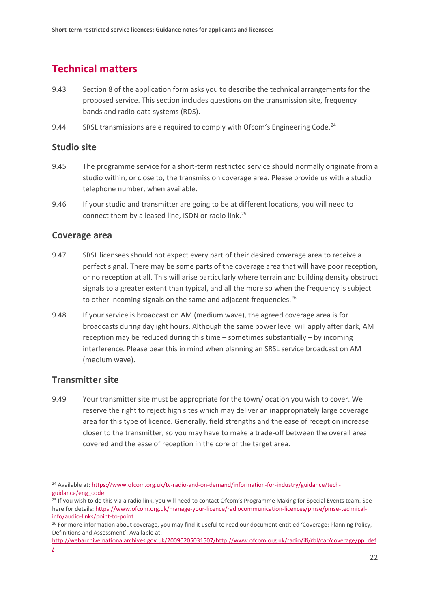## **Technical matters**

- 9.43 Section 8 of the application form asks you to describe the technical arrangements for the proposed service. This section includes questions on the transmission site, frequency bands and radio data systems (RDS).
- 9.44 SRSL transmissions are e required to comply with Ofcom's Engineering Code.<sup>[24](#page-24-0)</sup>

#### **Studio site**

- 9.45 The programme service for a short-term restricted service should normally originate from a studio within, or close to, the transmission coverage area. Please provide us with a studio telephone number, when available.
- 9.46 If your studio and transmitter are going to be at different locations, you will need to connect them by a leased line, ISDN or radio link. [25](#page-24-1)

#### **Coverage area**

- 9.47 SRSL licensees should not expect every part of their desired coverage area to receive a perfect signal. There may be some parts of the coverage area that will have poor reception, or no reception at all. This will arise particularly where terrain and building density obstruct signals to a greater extent than typical, and all the more so when the frequency is subject to other incoming signals on the same and adjacent frequencies.<sup>[26](#page-24-2)</sup>
- 9.48 If your service is broadcast on AM (medium wave), the agreed coverage area is for broadcasts during daylight hours. Although the same power level will apply after dark, AM reception may be reduced during this time – sometimes substantially – by incoming interference. Please bear this in mind when planning an SRSL service broadcast on AM (medium wave).

#### **Transmitter site**

 $\overline{a}$ 

9.49 Your transmitter site must be appropriate for the town/location you wish to cover. We reserve the right to reject high sites which may deliver an inappropriately large coverage area for this type of licence. Generally, field strengths and the ease of reception increase closer to the transmitter, so you may have to make a trade-off between the overall area covered and the ease of reception in the core of the target area.

<span id="page-24-0"></span><sup>&</sup>lt;sup>24</sup> Available at[: https://www.ofcom.org.uk/tv-radio-and-on-demand/information-for-industry/guidance/tech](https://www.ofcom.org.uk/tv-radio-and-on-demand/information-for-industry/guidance/tech-guidance/eng_code)[guidance/eng\\_code](https://www.ofcom.org.uk/tv-radio-and-on-demand/information-for-industry/guidance/tech-guidance/eng_code)

<span id="page-24-1"></span><sup>&</sup>lt;sup>25</sup> If you wish to do this via a radio link, you will need to contact Ofcom's Programme Making for Special Events team. See here for details: [https://www.ofcom.org.uk/manage-your-licence/radiocommunication-licences/pmse/pmse-technical](https://www.ofcom.org.uk/manage-your-licence/radiocommunication-licences/pmse/pmse-technical-info/audio-links/point-to-point)[info/audio-links/point-to-point](https://www.ofcom.org.uk/manage-your-licence/radiocommunication-licences/pmse/pmse-technical-info/audio-links/point-to-point)

<span id="page-24-2"></span><sup>&</sup>lt;sup>26</sup> For more information about coverage, you may find it useful to read our document entitled 'Coverage: Planning Policy, Definitions and Assessment'. Available at:

[http://webarchive.nationalarchives.gov.uk/20090205031507/http://www.ofcom.org.uk/radio/ifi/rbl/car/coverage/pp\\_def](http://webarchive.nationalarchives.gov.uk/20090205031507/http:/www.ofcom.org.uk/radio/ifi/rbl/car/coverage/pp_def/)  $\perp$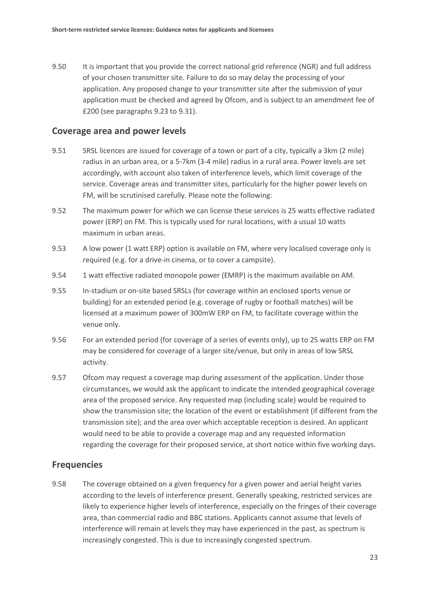9.50 It is important that you provide the correct national grid reference (NGR) and full address of your chosen transmitter site. Failure to do so may delay the processing of your application. Any proposed change to your transmitter site after the submission of your application must be checked and agreed by Ofcom, and is subject to an amendment fee of £200 (see paragraphs 9.23 to 9.31).

#### **Coverage area and power levels**

- 9.51 SRSL licences are issued for coverage of a town or part of a city, typically a 3km (2 mile) radius in an urban area, or a 5-7km (3-4 mile) radius in a rural area. Power levels are set accordingly, with account also taken of interference levels, which limit coverage of the service. Coverage areas and transmitter sites, particularly for the higher power levels on FM, will be scrutinised carefully. Please note the following:
- 9.52 The maximum power for which we can license these services is 25 watts effective radiated power (ERP) on FM. This is typically used for rural locations, with a usual 10 watts maximum in urban areas.
- 9.53 A low power (1 watt ERP) option is available on FM, where very localised coverage only is required (e.g. for a drive-in cinema, or to cover a campsite).
- 9.54 1 watt effective radiated monopole power (EMRP) is the maximum available on AM.
- 9.55 In-stadium or on-site based SRSLs (for coverage within an enclosed sports venue or building) for an extended period (e.g. coverage of rugby or football matches) will be licensed at a maximum power of 300mW ERP on FM, to facilitate coverage within the venue only.
- 9.56 For an extended period (for coverage of a series of events only), up to 25 watts ERP on FM may be considered for coverage of a larger site/venue, but only in areas of low SRSL activity.
- 9.57 Ofcom may request a coverage map during assessment of the application. Under those circumstances, we would ask the applicant to indicate the intended geographical coverage area of the proposed service. Any requested map (including scale) would be required to show the transmission site; the location of the event or establishment (if different from the transmission site); and the area over which acceptable reception is desired. An applicant would need to be able to provide a coverage map and any requested information regarding the coverage for their proposed service, at short notice within five working days.

#### **Frequencies**

9.58 The coverage obtained on a given frequency for a given power and aerial height varies according to the levels of interference present. Generally speaking, restricted services are likely to experience higher levels of interference, especially on the fringes of their coverage area, than commercial radio and BBC stations. Applicants cannot assume that levels of interference will remain at levels they may have experienced in the past, as spectrum is increasingly congested. This is due to increasingly congested spectrum.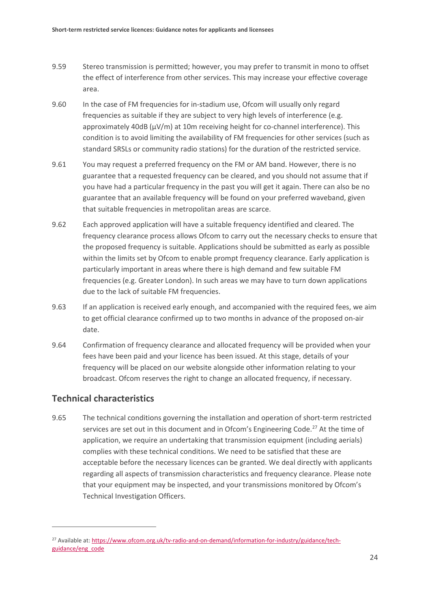- 9.59 Stereo transmission is permitted; however, you may prefer to transmit in mono to offset the effect of interference from other services. This may increase your effective coverage area.
- 9.60 In the case of FM frequencies for in-stadium use, Ofcom will usually only regard frequencies as suitable if they are subject to very high levels of interference (e.g. approximately 40dB ( $\mu$ V/m) at 10m receiving height for co-channel interference). This condition is to avoid limiting the availability of FM frequencies for other services (such as standard SRSLs or community radio stations) for the duration of the restricted service.
- 9.61 You may request a preferred frequency on the FM or AM band. However, there is no guarantee that a requested frequency can be cleared, and you should not assume that if you have had a particular frequency in the past you will get it again. There can also be no guarantee that an available frequency will be found on your preferred waveband, given that suitable frequencies in metropolitan areas are scarce.
- 9.62 Each approved application will have a suitable frequency identified and cleared. The frequency clearance process allows Ofcom to carry out the necessary checks to ensure that the proposed frequency is suitable. Applications should be submitted as early as possible within the limits set by Ofcom to enable prompt frequency clearance. Early application is particularly important in areas where there is high demand and few suitable FM frequencies (e.g. Greater London). In such areas we may have to turn down applications due to the lack of suitable FM frequencies.
- 9.63 If an application is received early enough, and accompanied with the required fees, we aim to get official clearance confirmed up to two months in advance of the proposed on-air date.
- 9.64 Confirmation of frequency clearance and allocated frequency will be provided when your fees have been paid and your licence has been issued. At this stage, details of your frequency will be placed on our website alongside other information relating to your broadcast. Ofcom reserves the right to change an allocated frequency, if necessary.

#### **Technical characteristics**

 $\overline{a}$ 

9.65 The technical conditions governing the installation and operation of short-term restricted services are set out in this document and in Ofcom's Engineering Code.<sup>[27](#page-26-0)</sup> At the time of application, we require an undertaking that transmission equipment (including aerials) complies with these technical conditions. We need to be satisfied that these are acceptable before the necessary licences can be granted. We deal directly with applicants regarding all aspects of transmission characteristics and frequency clearance. Please note that your equipment may be inspected, and your transmissions monitored by Ofcom's Technical Investigation Officers.

<span id="page-26-0"></span><sup>&</sup>lt;sup>27</sup> Available at[: https://www.ofcom.org.uk/tv-radio-and-on-demand/information-for-industry/guidance/tech](https://www.ofcom.org.uk/tv-radio-and-on-demand/information-for-industry/guidance/tech-guidance/eng_code)[guidance/eng\\_code](https://www.ofcom.org.uk/tv-radio-and-on-demand/information-for-industry/guidance/tech-guidance/eng_code)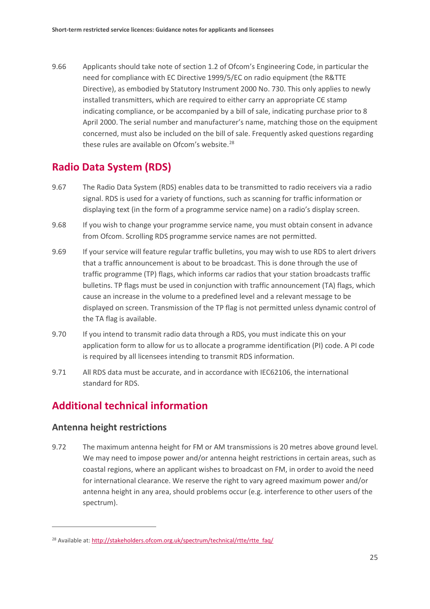9.66 Applicants should take note of section 1.2 of Ofcom's Engineering Code, in particular the need for compliance with EC Directive 1999/5/EC on radio equipment (the R&TTE Directive), as embodied by Statutory Instrument 2000 No. 730. This only applies to newly installed transmitters, which are required to either carry an appropriate CЄ stamp indicating compliance, or be accompanied by a bill of sale, indicating purchase prior to 8 April 2000. The serial number and manufacturer's name, matching those on the equipment concerned, must also be included on the bill of sale. Frequently asked questions regarding these rules are available on Ofcom's website.<sup>[28](#page-27-0)</sup>

### **Radio Data System (RDS)**

- 9.67 The Radio Data System (RDS) enables data to be transmitted to radio receivers via a radio signal. RDS is used for a variety of functions, such as scanning for traffic information or displaying text (in the form of a programme service name) on a radio's display screen.
- 9.68 If you wish to change your programme service name, you must obtain consent in advance from Ofcom. Scrolling RDS programme service names are not permitted.
- 9.69 If your service will feature regular traffic bulletins, you may wish to use RDS to alert drivers that a traffic announcement is about to be broadcast. This is done through the use of traffic programme (TP) flags, which informs car radios that your station broadcasts traffic bulletins. TP flags must be used in conjunction with traffic announcement (TA) flags, which cause an increase in the volume to a predefined level and a relevant message to be displayed on screen. Transmission of the TP flag is not permitted unless dynamic control of the TA flag is available.
- 9.70 If you intend to transmit radio data through a RDS, you must indicate this on your application form to allow for us to allocate a programme identification (PI) code. A PI code is required by all licensees intending to transmit RDS information.
- 9.71 All RDS data must be accurate, and in accordance with IEC62106, the international standard for RDS.

## **Additional technical information**

#### **Antenna height restrictions**

 $\overline{a}$ 

9.72 The maximum antenna height for FM or AM transmissions is 20 metres above ground level. We may need to impose power and/or antenna height restrictions in certain areas, such as coastal regions, where an applicant wishes to broadcast on FM, in order to avoid the need for international clearance. We reserve the right to vary agreed maximum power and/or antenna height in any area, should problems occur (e.g. interference to other users of the spectrum).

<span id="page-27-0"></span><sup>&</sup>lt;sup>28</sup> Available at[: http://stakeholders.ofcom.org.uk/spectrum/technical/rtte/rtte\\_faq/](http://stakeholders.ofcom.org.uk/spectrum/technical/rtte/rtte_faq/)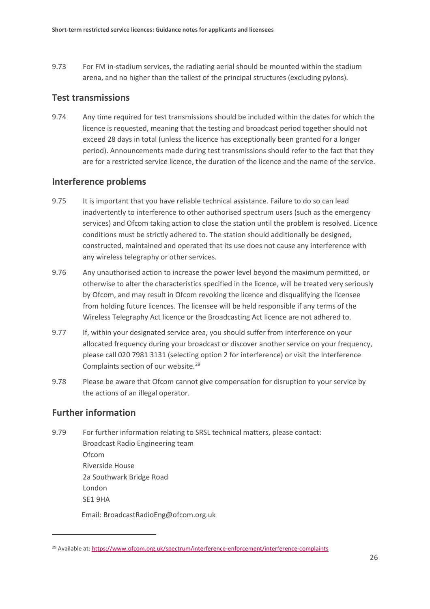9.73 For FM in-stadium services, the radiating aerial should be mounted within the stadium arena, and no higher than the tallest of the principal structures (excluding pylons).

#### **Test transmissions**

9.74 Any time required for test transmissions should be included within the dates for which the licence is requested, meaning that the testing and broadcast period together should not exceed 28 days in total (unless the licence has exceptionally been granted for a longer period). Announcements made during test transmissions should refer to the fact that they are for a restricted service licence, the duration of the licence and the name of the service.

#### **Interference problems**

- 9.75 It is important that you have reliable technical assistance. Failure to do so can lead inadvertently to interference to other authorised spectrum users (such as the emergency services) and Ofcom taking action to close the station until the problem is resolved. Licence conditions must be strictly adhered to. The station should additionally be designed, constructed, maintained and operated that its use does not cause any interference with any wireless telegraphy or other services.
- 9.76 Any unauthorised action to increase the power level beyond the maximum permitted, or otherwise to alter the characteristics specified in the licence, will be treated very seriously by Ofcom, and may result in Ofcom revoking the licence and disqualifying the licensee from holding future licences. The licensee will be held responsible if any terms of the Wireless Telegraphy Act licence or the Broadcasting Act licence are not adhered to.
- 9.77 If, within your designated service area, you should suffer from interference on your allocated frequency during your broadcast or discover another service on your frequency, please call 020 7981 3131 (selecting option 2 for interference) or visit the Interference Complaints section of our website. [29](#page-28-0)
- 9.78 Please be aware that Ofcom cannot give compensation for disruption to your service by the actions of an illegal operator.

#### **Further information**

 $\overline{a}$ 

9.79 For further information relating to SRSL technical matters, please contact: Broadcast Radio Engineering team Ofcom Riverside House 2a Southwark Bridge Road London SE1 9HA

Email: BroadcastRadioEng@ofcom.org.uk

<span id="page-28-0"></span><sup>&</sup>lt;sup>29</sup> Available at[: https://www.ofcom.org.uk/spectrum/interference-enforcement/interference-complaints](https://www.ofcom.org.uk/spectrum/interference-enforcement/interference-complaints)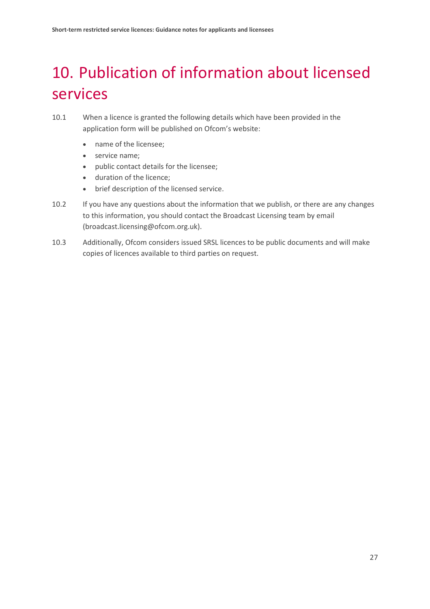# <span id="page-29-0"></span>10. Publication of information about licensed services

- 10.1 When a licence is granted the following details which have been provided in the application form will be published on Ofcom's website:
	- name of the licensee;
	- service name;
	- public contact details for the licensee;
	- duration of the licence;
	- brief description of the licensed service.
- 10.2 If you have any questions about the information that we publish, or there are any changes to this information, you should contact the Broadcast Licensing team by email [\(broadcast.licensing@ofcom.org.uk\)](mailto:broadcast.licensing@ofcom.org.uk).
- 10.3 Additionally, Ofcom considers issued SRSL licences to be public documents and will make copies of licences available to third parties on request.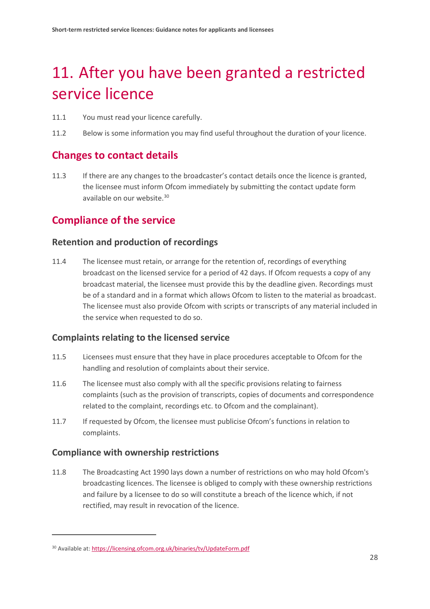# <span id="page-30-0"></span>11. After you have been granted a restricted service licence

- 11.1 You must read your licence carefully.
- 11.2 Below is some information you may find useful throughout the duration of your licence.

### **Changes to contact details**

11.3 If there are any changes to the broadcaster's contact details once the licence is granted, the licensee must inform Ofcom immediately by submitting the contact update form available on our website. [30](#page-30-1)

### **Compliance of the service**

#### **Retention and production of recordings**

11.4 The licensee must retain, or arrange for the retention of, recordings of everything broadcast on the licensed service for a period of 42 days. If Ofcom requests a copy of any broadcast material, the licensee must provide this by the deadline given. Recordings must be of a standard and in a format which allows Ofcom to listen to the material as broadcast. The licensee must also provide Ofcom with scripts or transcripts of any material included in the service when requested to do so.

#### **Complaints relating to the licensed service**

- 11.5 Licensees must ensure that they have in place procedures acceptable to Ofcom for the handling and resolution of complaints about their service.
- 11.6 The licensee must also comply with all the specific provisions relating to fairness complaints (such as the provision of transcripts, copies of documents and correspondence related to the complaint, recordings etc. to Ofcom and the complainant).
- 11.7 If requested by Ofcom, the licensee must publicise Ofcom's functions in relation to complaints.

#### **Compliance with ownership restrictions**

 $\overline{a}$ 

11.8 The Broadcasting Act 1990 lays down a number of restrictions on who may hold Ofcom's broadcasting licences. The licensee is obliged to comply with these ownership restrictions and failure by a licensee to do so will constitute a breach of the licence which, if not rectified, may result in revocation of the licence.

<span id="page-30-1"></span><sup>30</sup> Available at[: https://licensing.ofcom.org.uk/binaries/tv/UpdateForm.pdf](https://licensing.ofcom.org.uk/binaries/tv/UpdateForm.pdf)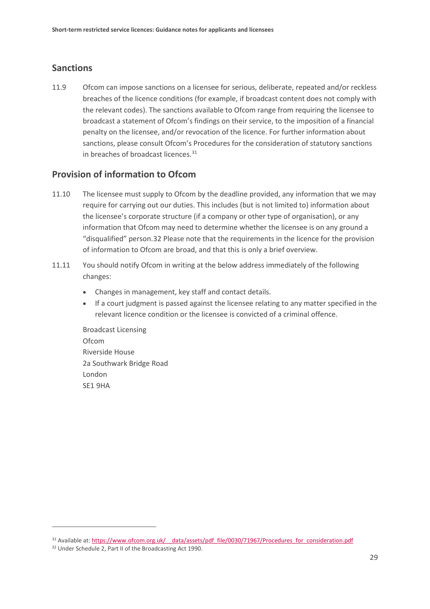#### **Sanctions**

11.9 Ofcom can impose sanctions on a licensee for serious, deliberate, repeated and/or reckless breaches of the licence conditions (for example, if broadcast content does not comply with the relevant codes). The sanctions available to Ofcom range from requiring the licensee to broadcast a statement of Ofcom's findings on their service, to the imposition of a financial penalty on the licensee, and/or revocation of the licence. For further information about sanctions, please consult Ofcom's Procedures for the consideration of statutory sanctions in breaches of broadcast licences. [31](#page-31-0)

#### **Provision of information to Ofcom**

- 11.10 The licensee must supply to Ofcom by the deadline provided, any information that we may require for carrying out our duties. This includes (but is not limited to) information about the licensee's corporate structure (if a company or other type of organisation), or any information that Ofcom may need to determine whether the licensee is on any ground a "disqualified" person.[32](#page-31-1) Please note that the requirements in the licence for the provision of information to Ofcom are broad, and that this is only a brief overview.
- 11.11 You should notify Ofcom in writing at the below address immediately of the following changes:
	- Changes in management, key staff and contact details.
	- If a court judgment is passed against the licensee relating to any matter specified in the relevant licence condition or the licensee is convicted of a criminal offence.

Broadcast Licensing Ofcom Riverside House 2a Southwark Bridge Road London SE1 9HA

<span id="page-31-0"></span><sup>31</sup> Available at: https://www.ofcom.org.uk/ data/assets/pdf\_file/0030/71967/Procedures\_for\_consideration.pdf

<span id="page-31-1"></span><sup>32</sup> Under Schedule 2, Part II of the Broadcasting Act 1990.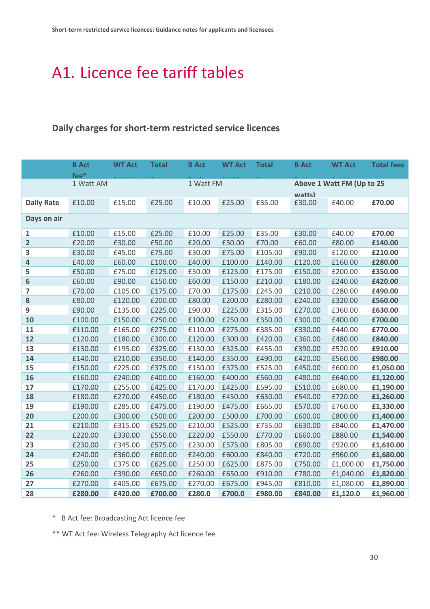## <span id="page-32-0"></span>A1. Licence fee tariff tables

## **Daily charges for short-term restricted service licences**

|                         | <b>B</b> Act           | <b>WT Act</b> | <b>Total</b> | <b>B</b> Act | <b>WT Act</b>             | <b>Total</b> | <b>B</b> Act | <b>WT Act</b> | <b>Total fees</b> |
|-------------------------|------------------------|---------------|--------------|--------------|---------------------------|--------------|--------------|---------------|-------------------|
|                         | fee*                   |               |              |              |                           |              |              |               |                   |
|                         | 1 Watt AM<br>1 Watt FM |               |              |              | Above 1 Watt FM (Up to 25 |              |              |               |                   |
|                         |                        |               |              |              |                           |              | watts)       |               |                   |
| <b>Daily Rate</b>       | £10.00                 | £15.00        | £25.00       | £10.00       | £25.00                    | £35.00       | £30.00       | £40.00        | £70.00            |
| Days on air             |                        |               |              |              |                           |              |              |               |                   |
| 1                       | £10.00                 | £15.00        | £25.00       | £10.00       | £25.00                    | £35.00       | £30.00       | £40.00        | £70.00            |
| $\overline{\mathbf{2}}$ | £20.00                 | £30.00        | £50.00       | £20.00       | £50.00                    | £70.00       | £60.00       | £80.00        | £140.00           |
| 3                       | £30.00                 | £45.00        | £75.00       | £30.00       | £75.00                    | £105.00      | £90.00       | £120.00       | £210.00           |
| 4                       | £40.00                 | £60.00        | £100.00      | £40.00       | £100.00                   | £140.00      | £120.00      | £160.00       | £280.00           |
| 5                       | £50.00                 | £75.00        | £125.00      | £50.00       | £125.00                   | £175.00      | £150.00      | £200.00       | £350.00           |
| 6                       | £60.00                 | £90.00        | £150.00      | £60.00       | £150.00                   | £210.00      | £180.00      | £240.00       | £420.00           |
| 7                       | £70.00                 | £105.00       | £175.00      | £70.00       | £175.00                   | £245.00      | £210.00      | £280.00       | £490.00           |
| 8                       | £80.00                 | £120.00       | £200.00      | £80.00       | £200.00                   | £280.00      | £240.00      | £320.00       | £560.00           |
| 9                       | £90.00                 | £135.00       | £225.00      | £90.00       | £225.00                   | £315.00      | £270.00      | £360.00       | £630.00           |
| 10                      | £100.00                | £150.00       | £250.00      | £100.00      | £250.00                   | £350.00      | £300.00      | £400.00       | £700.00           |
| 11                      | £110.00                | £165.00       | £275.00      | £110.00      | £275.00                   | £385.00      | £330.00      | £440.00       | £770.00           |
| 12                      | £120.00                | £180.00       | £300.00      | £120.00      | £300.00                   | £420.00      | £360.00      | £480.00       | £840.00           |
| 13                      | £130.00                | £195.00       | £325.00      | £130.00      | £325.00                   | £455.00      | £390.00      | £520.00       | £910.00           |
| 14                      | £140.00                | £210.00       | £350.00      | £140.00      | £350.00                   | £490.00      | £420.00      | £560.00       | £980.00           |
| 15                      | £150.00                | £225.00       | £375.00      | £150.00      | £375.00                   | £525.00      | £450.00      | £600.00       | £1,050.00         |
| 16                      | £160.00                | £240.00       | £400.00      | £160.00      | £400.00                   | £560.00      | £480.00      | £640.00       | £1,120.00         |
| 17                      | £170.00                | £255.00       | £425.00      | £170.00      | £425.00                   | £595.00      | £510.00      | £680.00       | £1,190.00         |
| 18                      | £180.00                | £270.00       | £450.00      | £180.00      | £450.00                   | £630.00      | £540.00      | £720.00       | £1,260.00         |
| 19                      | £190.00                | £285.00       | £475.00      | £190.00      | £475.00                   | £665.00      | £570.00      | £760.00       | £1,330.00         |
| 20                      | £200.00                | £300.00       | £500.00      | £200.00      | £500.00                   | £700.00      | £600.00      | £800.00       | £1,400.00         |
| 21                      | £210.00                | £315.00       | £525.00      | £210.00      | £525.00                   | £735.00      | £630.00      | £840.00       | £1,470.00         |
| 22                      | £220.00                | £330.00       | £550.00      | £220.00      | £550.00                   | £770.00      | £660.00      | £880.00       | £1,540.00         |
| 23                      | £230.00                | £345.00       | £575.00      | £230.00      | £575.00                   | £805.00      | £690.00      | £920.00       | £1,610.00         |
| 24                      | £240.00                | £360.00       | £600.00      | £240.00      | £600.00                   | £840.00      | £720.00      | £960.00       | £1,680.00         |
| 25                      | £250.00                | £375.00       | £625.00      | £250.00      | £625.00                   | £875.00      | £750.00      | £1,000.00     | £1,750.00         |
| 26                      | £260.00                | £390.00       | £650.00      | £260.00      | £650.00                   | £910.00      | £780.00      | £1,040.00     | £1,820.00         |
| 27                      | £270.00                | £405.00       | £675.00      | £270.00      | £675.00                   | £945.00      | £810.00      | £1,080.00     | £1,890.00         |
| 28                      | £280.00                | £420.00       | £700.00      | £280.0       | £700.0                    | £980.00      | £840.00      | £1,120.0      | £1,960.00         |

\* B Act fee: Broadcasting Act licence fee

\*\* WT Act fee: Wireless Telegraphy Act licence fee